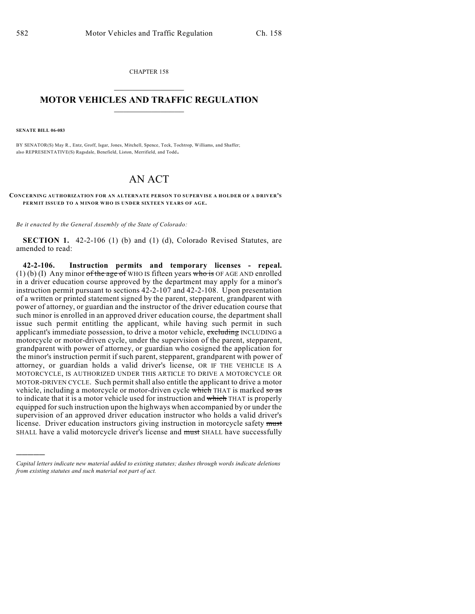CHAPTER 158

## $\mathcal{L}_\text{max}$  . The set of the set of the set of the set of the set of the set of the set of the set of the set of the set of the set of the set of the set of the set of the set of the set of the set of the set of the set **MOTOR VEHICLES AND TRAFFIC REGULATION**  $\frac{1}{2}$  ,  $\frac{1}{2}$  ,  $\frac{1}{2}$  ,  $\frac{1}{2}$  ,  $\frac{1}{2}$  ,  $\frac{1}{2}$  ,  $\frac{1}{2}$  ,  $\frac{1}{2}$

**SENATE BILL 06-083**

)))))

BY SENATOR(S) May R., Entz, Groff, Isgar, Jones, Mitchell, Spence, Teck, Tochtrop, Williams, and Shaffer; also REPRESENTATIVE(S) Ragsdale, Benefield, Liston, Merrifield, and Todd.

## AN ACT

**CONCERNING AUTHORIZATION FOR AN ALTERNATE PERSON TO SUPERVISE A HOLDER OF A DRIVER'S PERMIT ISSUED TO A MINOR WHO IS UNDER SIXTEEN YEARS OF AGE.**

*Be it enacted by the General Assembly of the State of Colorado:*

**SECTION 1.** 42-2-106 (1) (b) and (1) (d), Colorado Revised Statutes, are amended to read:

**42-2-106. Instruction permits and temporary licenses - repeal.**  $(1)$  (b) (I) Any minor of the age of WHO IS fifteen years who is OF AGE AND enrolled in a driver education course approved by the department may apply for a minor's instruction permit pursuant to sections 42-2-107 and 42-2-108. Upon presentation of a written or printed statement signed by the parent, stepparent, grandparent with power of attorney, or guardian and the instructor of the driver education course that such minor is enrolled in an approved driver education course, the department shall issue such permit entitling the applicant, while having such permit in such applicant's immediate possession, to drive a motor vehicle, excluding INCLUDING a motorcycle or motor-driven cycle, under the supervision of the parent, stepparent, grandparent with power of attorney, or guardian who cosigned the application for the minor's instruction permit if such parent, stepparent, grandparent with power of attorney, or guardian holds a valid driver's license, OR IF THE VEHICLE IS A MOTORCYCLE, IS AUTHORIZED UNDER THIS ARTICLE TO DRIVE A MOTORCYCLE OR MOTOR-DRIVEN CYCLE. Such permit shall also entitle the applicant to drive a motor vehicle, including a motorcycle or motor-driven cycle which THAT is marked so as to indicate that it is a motor vehicle used for instruction and which THAT is properly equipped for such instruction upon the highways when accompanied by or under the supervision of an approved driver education instructor who holds a valid driver's license. Driver education instructors giving instruction in motorcycle safety must SHALL have a valid motorcycle driver's license and must SHALL have successfully

*Capital letters indicate new material added to existing statutes; dashes through words indicate deletions from existing statutes and such material not part of act.*